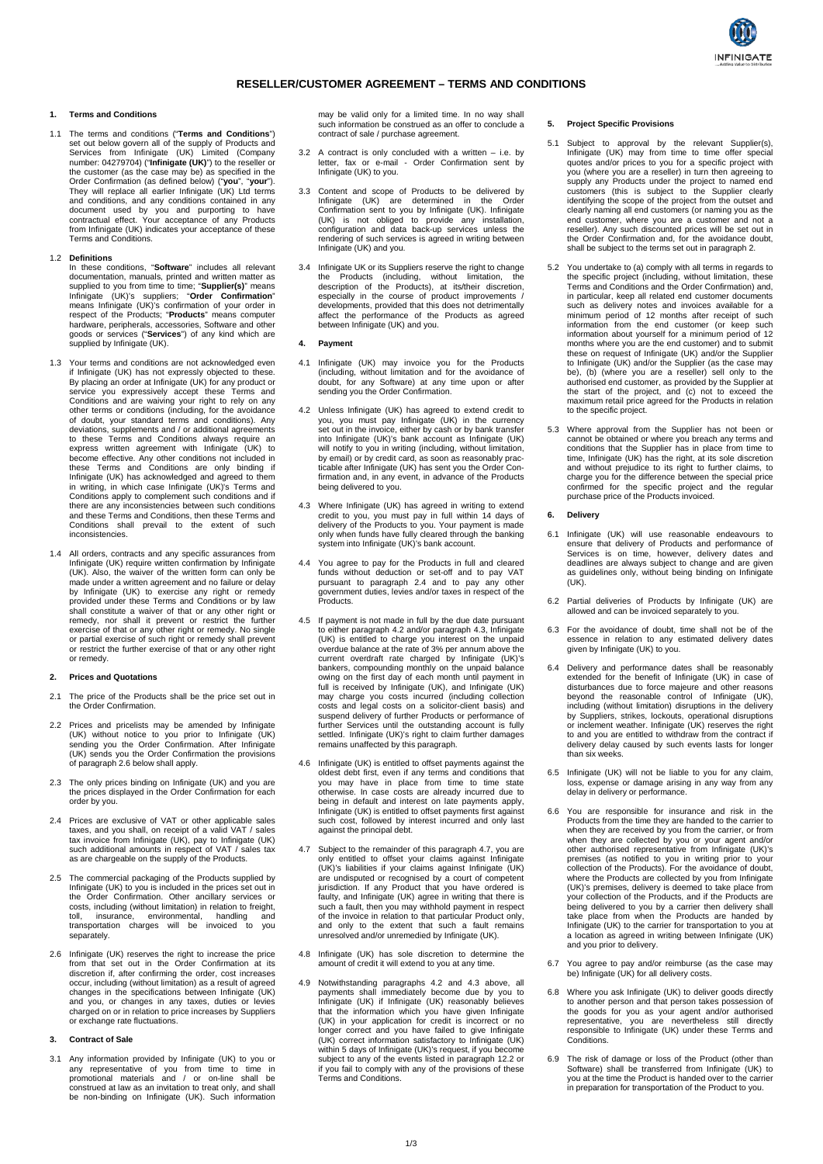

# **RESELLER/CUSTOMER AGREEMENT – TERMS AND CONDITIONS**

### **1. Terms and Conditions**

1.1 The terms and conditions ("**Terms and Conditions**") set out below govern all of the supply of Products and Services from Infinigate (UK) Limited (Company number: 04279704) ("**Infinigate (UK)**") to the reseller or the customer (as the case may be) as specified in the Order Confirmation (as defined below) ("**you**", "**your**"). They will replace all earlier Infinigate (UK) Ltd terms and conditions, and any conditions contained in any document used by you and purporting to have contractual effect. Your acceptance of any Products from Infinigate (UK) indicates your acceptance of these Terms and Conditions.

### 1.2 **Definitions**

In these conditions, "**Software**" includes all relevant<br>documentation, manuals, printed and written matter as<br>supplied to you from time to time; "**Supplier(s)**" means<br>Infinigate (UK)'s suppliers; "**Order Confirmation**"<br>mea hardware, peripherals, accessories, Software and other goods or services ("**Services**") of any kind which are supplied by Infinigate (UK).

- 1.3 Your terms and conditions are not acknowledged even<br>if Infinigate (UK) has not expressly objected to these.<br>By placing an order at Infinigate (UK) for any product or<br>service you expressively accept these Terms and<br>Con in writing, in which case Infinigate (UK)'s Terms and Conditions apply to complement such conditions and if there are any inconsistencies between such conditions and these Terms and Conditions, then these Terms and Conditions shall prevail to the extent of such inconsistencies.
- 1.4 All orders, contracts and any specific assurances from Infinigate (UK) require written confirmation by Infinigate (UK). Also, the waiver of the written form can only be made under a written agreement and no failure or delay by Infinigate (UK) to exercise any right or remedy provided under these Terms and Conditions or by law shall constitute a waiver of that or any other right or remedy, nor shall it prevent or restrict the further exercise of that or any other right or remedy. No single or partial exercise of such right or remedy shall prevent or restrict the further exercise of that or any other right or remedy.

#### **2. Prices and Quotations**

- 2.1 The price of the Products shall be the price set out in the Order Confirmation.
- 2.2 Prices and pricelists may be amended by Infinigate (UK) without notice to you prior to Infinigate (UK) sending you the Order Confirmation. After Infinigate (UK) sends you the Order Confirmation the provisions of paragraph 2.6 below shall apply.
- 2.3 The only prices binding on Infinigate (UK) and you are the prices displayed in the Order Confirmation for each order by you.
- 2.4 Prices are exclusive of VAT or other applicable sales<br>taxes, and you shall, on receipt of a valid VAT / sales<br>tax invoice from Infinigate (UK), pay to Infinigate (UK)<br>such additional amounts in respect of VAT / sales t as are chargeable on the supply of the Products.
- 2.5 The commercial packaging of the Products supplied by Infinigate (UK) to you is included in the prices set out in the Order Confirmation. Other ancillary services or costs, including (without limitation) in relation to freight, toll, insurance, environmental, handling and transportation charges will be invoiced to you separately
- 2.6 Infinigate (UK) reserves the right to increase the price<br>from that set out in the Order Confirmation at its<br>discretion if, after confirming the order, cost increases<br>occur, including (without limitation) as a result of charged on or in relation to price increases by Suppliers or exchange rate fluctuations.

# **3. Contract of Sale**

3.1 Any information provided by Infinigate (UK) to you or any representative of you from time to time in promotional materials and / or on-line shall be construed at law as an invitation to treat only, and shall be non-binding on Infinigate (UK). Such information

may be valid only for a limited time. In no way shall such information be construed as an offer to conclude a contract of sale / purchase agreement.

- $3.2$  A contract is only concluded with a written i.e. by letter, fax or e-mail - Order Confirmation sent by Infinigate (UK) to you.
- 3.3 Content and scope of Products to be delivered by Infinigate (UK) are determined in the Order<br>Confirmation sent to you by Infinigate (UK). Infinigate<br>(UK) is not obliged to provide any installation,<br>configuration and data back-up services unless the<br>rendering of such serv
- 3.4 Infinigate UK or its Suppliers reserve the right to change the Products (including, without limitation, the description of the Products), at its/their discretion, especially in the course of product improvements / developments, provided that this does not detrimentally affect the performance of the Products as agreed between Infinigate (UK) and you.

### **4. Payment**

- 4.1 Infinigate (UK) may invoice you for the Products (including, without limitation and for the avoidance of doubt, for any Software) at any time upon or after sending you the Order Confirmation.
- 4.2 Unless Infinigate (UK) has agreed to extend credit to you, you must pay Infinigate (UK) in the currency set out in the invoice, either by cash or by bank transfer into Infinigate (UK)'s bank account as Infinigate (UK) will notify to you in writing (including, without limitation,<br>by email) or by credit card, as soon as reasonably prac-<br>ticable after Infinigate (UK) has sent you the Order Con-<br>firmation and, in any event, in advance of th being delivered to you.
- 4.3 Where Infinigate (UK) has agreed in writing to extend credit to you, you must pay in full within 14 days of delivery of the Products to you. Your payment is made only when funds have fully cleared through the banking system into Infinigate (UK)'s bank account.
- 4.4 You agree to pay for the Products in full and cleared funds without deduction or set-off and to pay VAT pursuant to paragraph 2.4 and to pay any other government duties, levies and/or taxes in respect of the Products.
- 4.5 If payment is not made in full by the due date pursuant to either paragraph 4.2 and/or paragraph 4.3, Infinigate (UK) is entitled to charge you interest on the unpaid overdue balance at the rate of 3% per annum above the current overdraft rate charged by Infinigate (UK)'s bankers, compounding monthly on the unpaid balance owing on the first day of each month until payment in<br>full is received by Infinigate (UK), and Infinigate (UK)<br>may charge you costs incurred (including collection<br>costs and legal costs on a solicitor-client basis) and<br>susp settled. Infinigate (UK)'s right to claim further damages remains unaffected by this paragraph.
- 4.6 Infinigate (UK) is entitled to offset payments against the oldest debt first, even if any terms and conditions that you may have in place from time to time state otherwise. In case costs are already incurred due to being in default and interest on late payments apply, Infinigate (UK) is entitled to offset payments first against such cost, followed by interest incurred and only last against the principal debt.
- 4.7 Subject to the remainder of this paragraph 4.7, you are only entitled to offset your claims against Infinigate (UK)'s liabilities if your claims against Infinigate (UK) are undisputed or recognised by a court of competent<br>jurisdiction. If any Product that you have ordered is<br>faulty, and Infinigate (UK) agree in writing that there is<br>such a fault, then you may withhold payment in respect<br>o and only to the extent that such a fault remains unresolved and/or unremedied by Infinigate (UK).
- 4.8 Infinigate (UK) has sole discretion to determine the amount of credit it will extend to you at any time.
- 4.9 Notwithstanding paragraphs 4.2 and 4.3 above, all payments shall immediately become due by you to Infinigate (UK) if Infinigate (UK) reasonably believes that the information which you have given Infinigate (UK) in your application for credit is incorrect or no longer correct and you have failed to give Infinigate (UK) correct information satisfactory to Infinigate (UK) within 5 days of Infinigate (UK)'s request, if you become subject to any of the events listed in paragraph 12.2 or if you fail to comply with any of the provisions of these Terms and Conditions.

### **5. Project Specific Provisions**

- 5.1 Subject to approval by the relevant Supplier(s), Infinigate (UK) may from time to time offer special quotes and/or prices to you for a specific project with you (where you are a reseller) in turn then agreeing to supply any Products under the project to named end customers (this is subject to the Supplier clearly identifying the scope of the project from the outset and clearly naming all end customers (or naming you as the<br>end customer, where you are a customer and not a<br>reseller). Any such discounted prices will be set out in<br>the Order Confirmation and, for the avoidance doubt,<br>shall be
- 5.2 You undertake to (a) comply with all terms in regards to the specific project (including, without limitation, these Terms and Conditions and the Order Confirmation) and, in particular, keep all related end customer documents such as delivery notes and invoices available for a minimum period of 12 months after receipt of such information from the end customer (or keep such information about yourself for a minimum period of 12 months where you are the end customer) and to submit<br>these on request of Infinigate (UK) and/or the Supplier<br>to Infinigate (UK) and/or the Supplier (as the case may<br>be), (b) (where you are a reseller) sell only to the authorised end customer, as provided by the Supplier at the start of the project, and (c) not to exceed the maximum retail price agreed for the Products in relation to the specific project.
- 5.3 Where approval from the Supplier has not been or cannot be obtained or where you breach any terms and conditions that the Supplier has in place from time to time, Infinigate (UK) has the right, at its sole discretion and without prejudice to its right to further claims, to charge you for the difference between the special price confirmed for the specific project and the regular purchase price of the Products invoiced.

### **6. Delivery**

- 6.1 Infinigate (UK) will use reasonable endeavours to ensure that delivery of Products and performance of Services is on time, however, delivery dates and deadlines are always subject to change and are given as guidelines only, without being binding on Infinigate (UK).
- 6.2 Partial deliveries of Products by Infinigate (UK) are allowed and can be invoiced separately to you.
- 6.3 For the avoidance of doubt, time shall not be of the essence in relation to any estimated delivery dates given by Infinigate (UK) to you.
- 6.4 Delivery and performance dates shall be reasonably extended for the benefit of Infinigate (UK) in case of disturbances due to force majeure and other reasons beyond the reasonable control of Infinigate (UK), including (without limitation) disruptions in the delivery by Suppliers, strikes, lockouts, operational disruptions or inclement weather. Infinigate (UK) reserves the right to and you are entitled to withdraw from the contract if delivery delay caused by such events lasts for longer than six weeks.
- 6.5 Infinigate (UK) will not be liable to you for any claim, loss, expense or damage arising in any way from any delay in delivery or performance.
- You are responsible for insurance and risk in the Products from the time they are handed to the carrier to when they are received by you from the carrier, or from the when they are collected by you or your agent and/or other authorised representative from Infinigate (UK)' premises (as notified to you in writing prior to your<br>collection of the Products). For the avoidance of doubt,<br>where the Products are collected by you from Infinigate<br>(UK)'s premises, delivery is deemed to take place from<br> being delivered to you by a carrier then delivery shall take place from when the Products are handed by Infinigate (UK) to the carrier for transportation to you at a location as agreed in writing between Infinigate (UK) and you prior to delivery.
- 6.7 You agree to pay and/or reimburse (as the case may be) Infinigate (UK) for all delivery costs.
- 6.8 Where you ask Infinigate (UK) to deliver goods directly to another person and that person takes possession of the goods for you as your agent and/or authorised representative, you are nevertheless still directly responsible to Infinigate (UK) under these Terms and Conditions.
- 6.9 The risk of damage or loss of the Product (other than<br>Software) shall be transferred from Infiningate (UK) to<br>you at the time the Product is handed over to the carrier<br>in preparation for transportation of the Product t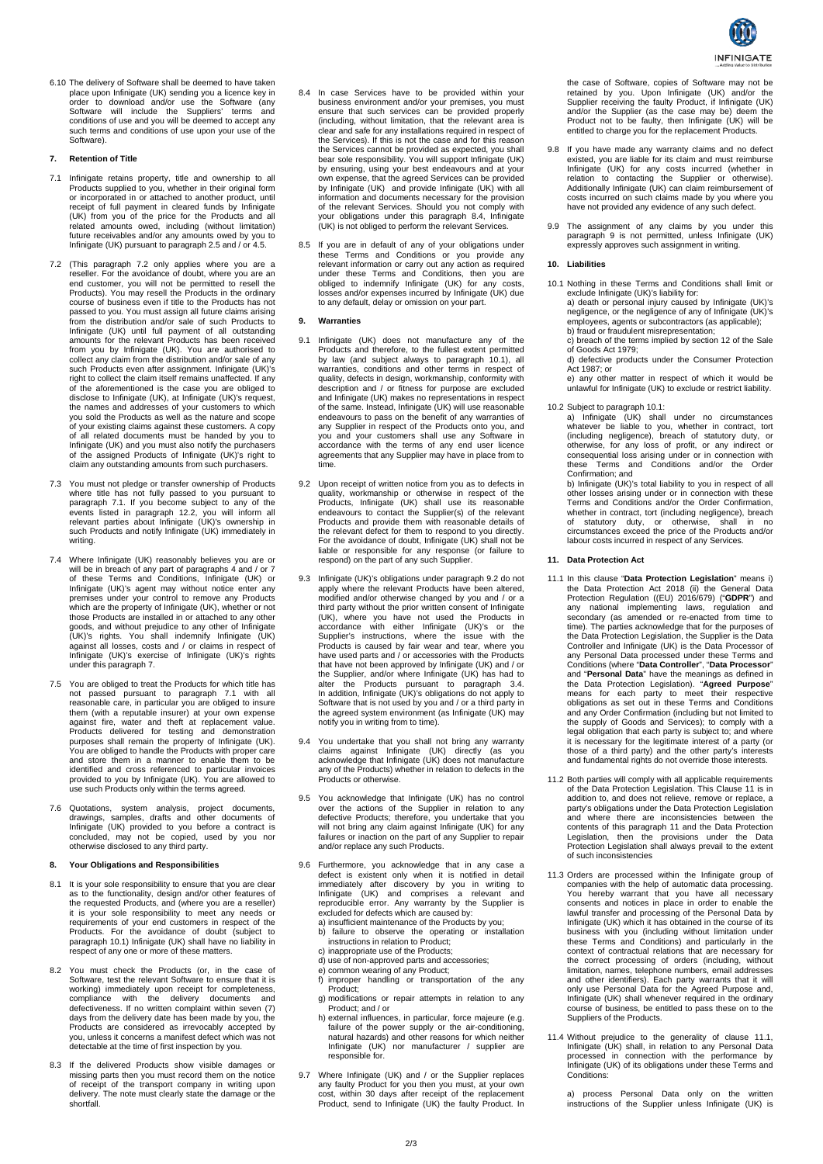

6.10 The delivery of Software shall be deemed to have taken place upon Infinigate (UK) sending you a licence key in order to download and/or use the Software (any Software will include the Suppliers' terms and conditions of use and you will be deemed to accept any such terms and conditions of use upon your use of the Software).

# **7. Retention of Title**

- 7.1 Infinigate retains property, title and ownership to all Products supplied to you, whether in their original form or incorporated in or attached to another product, until receipt of full payment in cleared funds by Infinigate (UK) from you of the price for the Products and all related amounts owed, including (without limitation) future receivables and/or any amounts owed by you to Infinigate (UK) pursuant to paragraph 2.5 and / or 4.5.
- 7.2 (This paragraph 7.2 only applies where you are a reseller. For the avoidance of doubt, where you are an end customer, you will not be permitted to resell the Products). You may resell the Products in the ordinary course of business even if title to the Products has not passed to you. You must assign all future claims arising<br>from the distribution and/or sale of such Products to<br>Infinigate (UK) until full payment of all outstanding<br>amounts for the relevant Products has been received<br>from right to collect the claim itself remains unaffected. If any of the aforementioned is the case you are obliged to disclose to Infinigate (UK), at Infinigate (UK)'s request, the names and addresses of your customers to which you sold the Products as well as the nature and scope of your existing claims against these customers. A copy of all related documents must be handed by you to Infinigate (UK) and you must also notify the purchasers of the assigned Products of Infinigate (UK)'s right to claim any outstanding amounts from such purchasers.
- 7.3 You must not pledge or transfer ownership of Products<br>where title has not fully passed to you pursuant to<br>paragraph 7.1. If you become subject to any of the<br>events listed in paragraph 12.2, you will inform all<br>relevant such Products and notify Infinigate (UK) immediately in writing.
- 7.4 Where Infinigate (UK) reasonably believes you are or will be in breach of any part of paragraphs 4 and / or 7 of these Terms and Conditions, Infinigate (UK) or Infinigate (UK)'s agent may without notice enter any premises under your control to remove any Products which are the property of Infinigate (UK), whether or not those Products are installed in or attached to any other goods, and without prejudice to any other of Infinigate<br>(UK)'s rights. You shall indemnify Infinigate (UK)<br>against all losses, costs and / or claims in respect of<br>Infinigate (UK)'s exercise of Infinigate (UK)'s rights under this paragraph 7.
- 7.5 You are obliged to treat the Products for which title has not passed pursuant to paragraph 7.1 with all reasonable care, in particular you are obliged to insure them (with a reputable insurer) at your own expense against fire, water and theft at replacement value. Products delivered for testing and demonstration purposes shall remain the property of Infinigate (UK). You are obliged to handle the Products with proper care and store them in a manner to enable them to be identified and cross referenced to particular invoices provided to you by Infinigate (UK). You are allowed to use such Products only within the terms agreed.
- 7.6 Quotations, system analysis, project documents, drawings, samples, drafts and other documents of Infinigate (UK) provided to you before a contract is concluded, may not be copied, used by you nor otherwise disclosed to any third party.

### **8. Your Obligations and Responsibilities**

- 8.1 It is your sole responsibility to ensure that you are clear as to the functionality, design and/or other features of the requested Products, and (where you are a reseller) it is your sole responsibility to meet any needs or requirements of your end customers in respect of the Products. For the avoidance of doubt (subject to paragraph 10.1) Infinigate (UK) shall have no liability in respect of any one or more of these matters.
- 8.2 You must check the Products (or, in the case of Software, test the relevant Software to ensure that it is working) immediately upon receipt for completeness, compliance with the delivery documents and defectiveness. If no written complaint within seven (7) days from the delivery date has been made by you, the Products are considered as irrevocably accepted by you, unless it concerns a manifest defect which was not detectable at the time of first inspection by you.
- 8.3 If the delivered Products show visible damages or missing parts then you must record them on the notice of receipt of the transport company in writing upon delivery. The note must clearly state the damage or the shortfall.
- 8.4 In case Services have to be provided within your business environment and/or your premises, you must ensure that such services can be provided properly (including, without limitation, that the relevant area is clear and safe for any installations required in respect of the Services). If this is not the case and for this reason the Services cannot be provided as expected, you shall bear sole responsibility. You will support Infinigate (UK) by ensuring, using your best endeavours and at your own expense, that the agreed Services can be provided by Infinigate (UK) and provide Infinigate (UK) with all information and documents necessary for the provision of the relevant Services. Should you not comply with your obligations under this paragraph 8.4, Infinigate (UK) is not obliged to perform the relevant Services.
- 8.5 If you are in default of any of your obligations under these Terms and Conditions or you provide any relevant information or carry out any action as required under these Terms and Conditions, then you are obliged to indemnify Infinigate (UK) for any costs, losses and/or expenses incurred by Infinigate (UK) due to any default, delay or omission on your part.

#### **9. Warranties**

- 9.1 Infinigate (UK) does not manufacture any of the Products and therefore, to the fullest extent permitted by law (and subject always to paragraph 10.1), all warranties, conditions and other terms in respect of quality, defects in design, workmanship, conformity with description and / or fitness for purpose are excluded and Infinigate (UK) makes no representations in respect of the same. Instead, Infinigate (UK) will use reasonable endeavours to pass on the benefit of any warranties of any Supplier in respect of the Products onto you, and you and your customers shall use any Software in accordance with the terms of any end user licence agreements that any Supplier may have in place from to time.
- 9.2 Upon receipt of written notice from you as to defects in quality, workmanship or otherwise in respect of the Products, Infinigate (UK) shall use its reasonable endeavours to contact the Supplier(s) of the relevant Products and provide them with reasonable details of the relevant defect for them to respond to you directly. For the avoidance of doubt, Infinigate (UK) shall not be liable or responsible for any response (or failure to respond) on the part of any such Supplier.
- 9.3 Infinigate (UK)'s obligations under paragraph 9.2 do not apply where the relevant Products have been altered, modified and/or otherwise changed by you and / or a third party without the prior written consent of Infinigate<br>(UK), where you have not used the Products in<br>accordance with either Infinigate (UK)'s or the<br>Supplier's instructions, where the issue with the<br>Products is caused the Supplier, and/or where Infinigate (UK) has had to<br>alter the Products pursuant to paragraph 3.4.<br>In addition, Infinigate (UK)'s obligations do not apply to<br>Software that is not used by you and / or a third party in<br>the notify you in writing from to time).
- 9.4 You undertake that you shall not bring any warranty claims against Infinigate (UK) directly (as you acknowledge that Infinigate (UK) does not manufacture any of the Products) whether in relation to defects in the Products or otherwise.
- 9.5 You acknowledge that Infinigate (UK) has no control over the actions of the Supplier in relation to any defective Products; therefore, you undertake that you will not bring any claim against Infinigate (UK) for any failures or inaction on the part of any Supplier to repair and/or replace any such Products.
- 9.6 Furthermore, you acknowledge that in any case a defect is existent only when it is notified in detail immediately after discovery by you in writing to Infinigate (UK) and comprises a relevant and reproducible error. Any warranty by the Supplier is excluded for defects which are caused by:
	- a) insufficient maintenance of the Products by you; b) failure to observe the operating or installation instructions in relation to Product;
	- c) inappropriate use of the Products;
	- d) use of non-approved parts and accessories;
	-
	- e) common wearing of any Product; f) improper handling or transportation of the any Product; g) modifications or repair attempts in relation to any
	- Product; and / or h) external influences, in particular, force majeure (e.g. failure of the power supply or the air-conditioning, natural hazards) and other reasons for which neither Infinigate (UK) nor manufacturer / supplier are responsible for.
- 9.7 Where Infinigate (UK) and / or the Supplier replaces any faulty Product for you then you must, at your own cost, within 30 days after receipt of the replacement Product, send to Infinigate (UK) the faulty Product. In

the case of Software, copies of Software may not be retained by you. Upon Infinigate (UK) and/or the Supplier receiving the faulty Product, if Infinigate (UK) and/or the Supplier (as the case may be) deem the Product not to be faulty, then Infinigate (UK) will be entitled to charge you for the replacement Products.

- 9.8 If you have made any warranty claims and no defect existed, you are liable for its claim and must reimburse Infinigate (UK) for any costs incurred (whether in relation to contacting the Supplier or otherwise).<br>Additionally Infinigate (UK) can claim reimbursement of costs incurred on such claims made by you where you have not provided any evidence of any such defect.
- 9.9 The assignment of any claims by you under this paragraph 9 is not permitted, unless Infinigate (UK) expressly approves such assignment in writing.

### **10. Liabilities**

- 10.1 Nothing in these Terms and Conditions shall limit or exclude Infinigate (UK)'s liability for: a) death or personal injury caused by Infinigate (UK)'s
	- negligence, or the negligence of any of Infinigate (UK)'s employees, agents or subcontractors (as applicable); b) fraud or fraudulent misrepresentation;
		- c) breach of the terms implied by section 12 of the Sale of Goods Act 1979;
	- d) defective products under the Consumer Protection Act 1987; or
	- e) any other matter in respect of which it would be unlawful for Infinigate (UK) to exclude or restrict liability.
- 
- 10.2 Subject to paragraph 10.1: a) Infinigate (UK) shall under no circumstances whatever be liable to you, whether in contract, tort (including negligence), breach of statutory duty, or otherwise, for any loss of profit, or any indirect or consequential loss arising under or in connection with these Terms and Conditions and/or the Order Confirmation; and

b) Infinigate (UK)'s total liability to you in respect of all<br>other losses arising under or in connection with these<br>Terms and Conditions and/or the Order Confirmation,<br>whether in contract, tort (including negligence), bre of statutory duty, or otherwise, shall in no circumstances exceed the price of the Products and/or labour costs incurred in respect of any Services.

### **11. Data Protection Act**

- 11.1 In this clause "**Data Protection Legislation**" means i) the Data Protection Act 2018 (ii) the General Data Protection Regulation ((EU) 2016/679) ("**GDPR**") and any national implementing laws, regulation and secondary (as amended or re-enacted from time to time). The parties acknowledge that for the purposes of the Data Protection Legislation, the Supplier is the Data Controller and Infinigate (UK) is the Data Processor of any Personal Data processed under these Terms and Conditions (where "**Data Controller**", "**Data Processor**" and "**Personal Data**" have the meanings as defined in the Data Protection Legislation). "Agreed Purpose" means for each party to meet their respective obligations as set out in these Terms and Conditions and any Order Confirmation (including but not limited to the supply of Goods and Services); to comply with a legal obligation that each party is subject to; and where it is necessary for the legitimate interest of a party (or those of a third party) and the other party's interests and fundamental rights do not override those interests.
- 11.2 Both parties will comply with all applicable requirements<br>of the Data Protection Legislation. This Clause 11 is in<br>addition to, and does not relieve, remove or replace, a<br>party's obligations under the Data Protection and where there are inconsistencies between the contents of this paragraph 11 and the Data Protection Legislation, then the provisions under the Data Protection Legislation shall always prevail to the extent of such inconsistencies
- 11.3 Orders are processed within the Infinigate group of companies with the help of automatic data processing. You hereby warrant that you have all necessary consents and notices in place in order to enable the lawful transfer and processing of the Personal Data by<br>Infinigate (UK) which it has obtained in the course of its<br>business with you (including without limitation under<br>these Terms and Conditions) and particularly in the<br>co the correct processing of orders (including, without limitation, names, telephone numbers, email addresses and other identifiers). Each party warrants that it will only use Personal Data for the Agreed Purpose and, Infinigate (UK) shall whenever required in the ordinary course of business, be entitled to pass these on to the Suppliers of the Products.
- 11.4 Without prejudice to the generality of clause 11.1, Infinigate (UK) shall, in relation to any Personal Data processed in connection with the performance by Infinigate (UK) of its obligations under these Terms and Conditions:

a) process Personal Data only on the written instructions of the Supplier unless Infinigate (UK) is